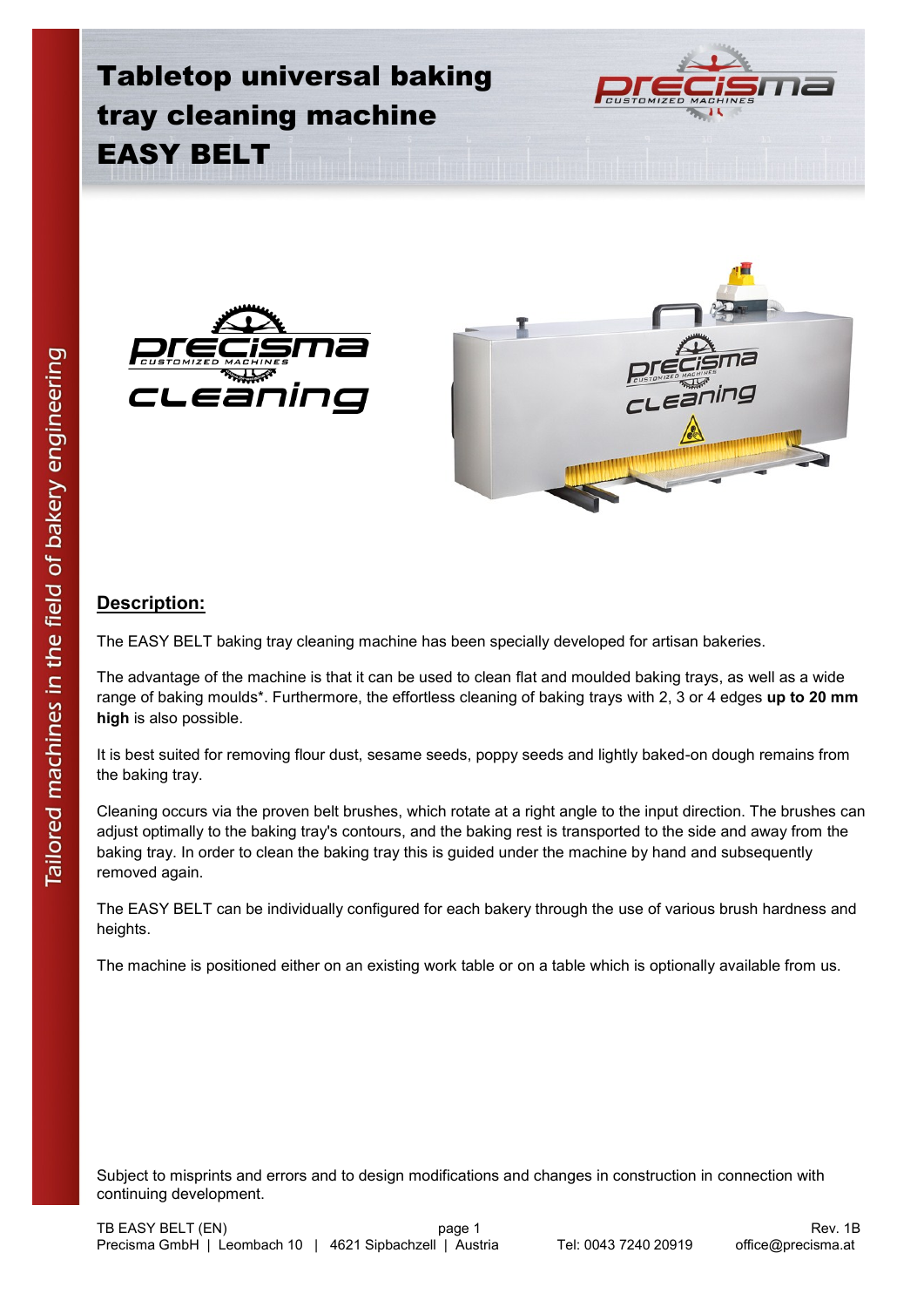





## **Description:**

The EASY BELT baking tray cleaning machine has been specially developed for artisan bakeries.

The advantage of the machine is that it can be used to clean flat and moulded baking trays, as well as a wide range of baking moulds\*. Furthermore, the effortless cleaning of baking trays with 2, 3 or 4 edges **up to 20 mm high** is also possible.

It is best suited for removing flour dust, sesame seeds, poppy seeds and lightly baked-on dough remains from the baking tray.

Cleaning occurs via the proven belt brushes, which rotate at a right angle to the input direction. The brushes can adjust optimally to the baking tray's contours, and the baking rest is transported to the side and away from the baking tray. In order to clean the baking tray this is guided under the machine by hand and subsequently removed again.

The EASY BELT can be individually configured for each bakery through the use of various brush hardness and heights.

The machine is positioned either on an existing work table or on a table which is optionally available from us.

Subject to misprints and errors and to design modifications and changes in construction in connection with continuing development.